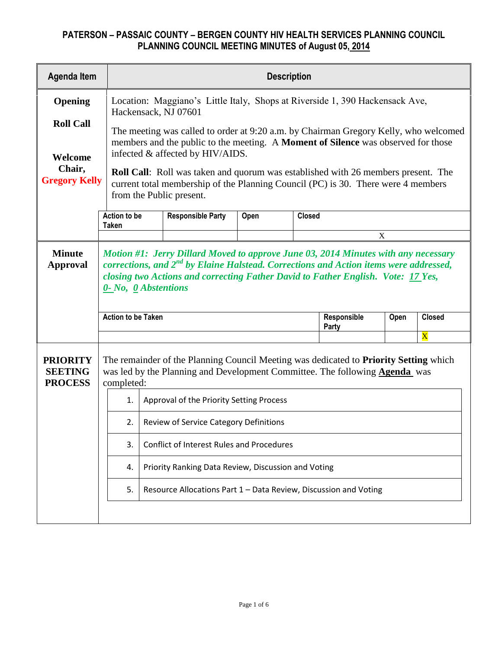| <b>Agenda Item</b>                                  |                           | <b>Description</b>                                                                                                                                                                                                                                                                                                                                                                                                         |      |               |                      |      |                         |  |  |  |
|-----------------------------------------------------|---------------------------|----------------------------------------------------------------------------------------------------------------------------------------------------------------------------------------------------------------------------------------------------------------------------------------------------------------------------------------------------------------------------------------------------------------------------|------|---------------|----------------------|------|-------------------------|--|--|--|
| Opening<br><b>Roll Call</b>                         |                           | Location: Maggiano's Little Italy, Shops at Riverside 1, 390 Hackensack Ave,<br>Hackensack, NJ 07601                                                                                                                                                                                                                                                                                                                       |      |               |                      |      |                         |  |  |  |
| Welcome<br>Chair,<br><b>Gregory Kelly</b>           |                           | The meeting was called to order at 9:20 a.m. by Chairman Gregory Kelly, who welcomed<br>members and the public to the meeting. A Moment of Silence was observed for those<br>infected & affected by HIV/AIDS.<br><b>Roll Call:</b> Roll was taken and quorum was established with 26 members present. The<br>current total membership of the Planning Council (PC) is 30. There were 4 members<br>from the Public present. |      |               |                      |      |                         |  |  |  |
|                                                     | Action to be<br>Taken     | <b>Responsible Party</b>                                                                                                                                                                                                                                                                                                                                                                                                   | Open | <b>Closed</b> |                      |      |                         |  |  |  |
|                                                     |                           |                                                                                                                                                                                                                                                                                                                                                                                                                            |      |               |                      | X    |                         |  |  |  |
| <b>Minute</b><br><b>Approval</b>                    |                           | Motion #1: Jerry Dillard Moved to approve June 03, 2014 Minutes with any necessary<br>corrections, and $2^{nd}$ by Elaine Halstead. Corrections and Action items were addressed,<br>closing two Actions and correcting Father David to Father English. Vote: 17 Yes,<br>0- No, 0 Abstentions                                                                                                                               |      |               |                      |      |                         |  |  |  |
|                                                     | <b>Action to be Taken</b> |                                                                                                                                                                                                                                                                                                                                                                                                                            |      |               | Responsible<br>Party | Open | <b>Closed</b>           |  |  |  |
|                                                     |                           |                                                                                                                                                                                                                                                                                                                                                                                                                            |      |               |                      |      | $\overline{\mathbf{X}}$ |  |  |  |
| <b>PRIORITY</b><br><b>SEETING</b><br><b>PROCESS</b> |                           | The remainder of the Planning Council Meeting was dedicated to Priority Setting which<br>was led by the Planning and Development Committee. The following <b>Agenda</b> was<br>completed:                                                                                                                                                                                                                                  |      |               |                      |      |                         |  |  |  |
|                                                     | 1.                        | Approval of the Priority Setting Process                                                                                                                                                                                                                                                                                                                                                                                   |      |               |                      |      |                         |  |  |  |
|                                                     | 2.                        | Review of Service Category Definitions                                                                                                                                                                                                                                                                                                                                                                                     |      |               |                      |      |                         |  |  |  |
|                                                     | 3.                        | <b>Conflict of Interest Rules and Procedures</b>                                                                                                                                                                                                                                                                                                                                                                           |      |               |                      |      |                         |  |  |  |
|                                                     | 4.                        | Priority Ranking Data Review, Discussion and Voting                                                                                                                                                                                                                                                                                                                                                                        |      |               |                      |      |                         |  |  |  |
|                                                     | 5.                        | Resource Allocations Part 1 - Data Review, Discussion and Voting                                                                                                                                                                                                                                                                                                                                                           |      |               |                      |      |                         |  |  |  |
|                                                     |                           |                                                                                                                                                                                                                                                                                                                                                                                                                            |      |               |                      |      |                         |  |  |  |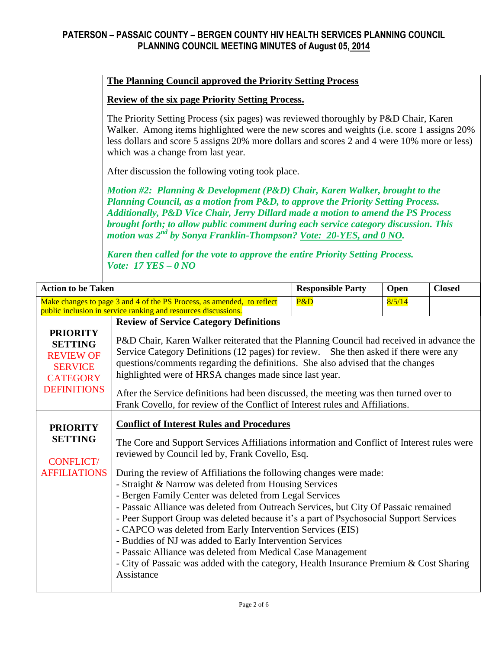|                                                                             | <b>The Planning Council approved the Priority Setting Process</b>                                                                                                                                                                                                                                                                                                                                                                                                                                                                                           |                                                   |        |               |  |  |  |  |  |
|-----------------------------------------------------------------------------|-------------------------------------------------------------------------------------------------------------------------------------------------------------------------------------------------------------------------------------------------------------------------------------------------------------------------------------------------------------------------------------------------------------------------------------------------------------------------------------------------------------------------------------------------------------|---------------------------------------------------|--------|---------------|--|--|--|--|--|
|                                                                             | <b>Review of the six page Priority Setting Process.</b>                                                                                                                                                                                                                                                                                                                                                                                                                                                                                                     |                                                   |        |               |  |  |  |  |  |
|                                                                             | The Priority Setting Process (six pages) was reviewed thoroughly by P&D Chair, Karen<br>Walker. Among items highlighted were the new scores and weights (i.e. score 1 assigns 20%)<br>less dollars and score 5 assigns 20% more dollars and scores 2 and 4 were 10% more or less)<br>which was a change from last year.                                                                                                                                                                                                                                     |                                                   |        |               |  |  |  |  |  |
|                                                                             |                                                                                                                                                                                                                                                                                                                                                                                                                                                                                                                                                             | After discussion the following voting took place. |        |               |  |  |  |  |  |
|                                                                             | Motion #2: Planning & Development (P&D) Chair, Karen Walker, brought to the<br>Planning Council, as a motion from P&D, to approve the Priority Setting Process.<br>Additionally, P&D Vice Chair, Jerry Dillard made a motion to amend the PS Process<br>brought forth; to allow public comment during each service category discussion. This<br>motion was 2 <sup>nd</sup> by Sonya Franklin-Thompson? Vote: 20-YES, and 0 NO.<br>Karen then called for the vote to approve the entire Priority Setting Process.<br>Vote: $17 \text{ } YES - 0 \text{ } NO$ |                                                   |        |               |  |  |  |  |  |
| <b>Action to be Taken</b>                                                   |                                                                                                                                                                                                                                                                                                                                                                                                                                                                                                                                                             | <b>Responsible Party</b>                          | Open   | <b>Closed</b> |  |  |  |  |  |
|                                                                             | Make changes to page 3 and 4 of the PS Process, as amended, to reflect<br>public inclusion in service ranking and resources discussions.                                                                                                                                                                                                                                                                                                                                                                                                                    | P&D                                               | 8/5/14 |               |  |  |  |  |  |
| <b>PRIORITY</b><br><b>SETTING</b>                                           | <b>Review of Service Category Definitions</b><br>P&D Chair, Karen Walker reiterated that the Planning Council had received in advance the<br>Service Category Definitions (12 pages) for review. She then asked if there were any<br>questions/comments regarding the definitions. She also advised that the changes<br>highlighted were of HRSA changes made since last year.<br>After the Service definitions had been discussed, the meeting was then turned over to<br>Frank Covello, for review of the Conflict of Interest rules and Affiliations.    |                                                   |        |               |  |  |  |  |  |
| <b>REVIEW OF</b><br><b>SERVICE</b><br><b>CATEGORY</b><br><b>DEFINITIONS</b> |                                                                                                                                                                                                                                                                                                                                                                                                                                                                                                                                                             |                                                   |        |               |  |  |  |  |  |
| <b>PRIORITY</b>                                                             | <b>Conflict of Interest Rules and Procedures</b>                                                                                                                                                                                                                                                                                                                                                                                                                                                                                                            |                                                   |        |               |  |  |  |  |  |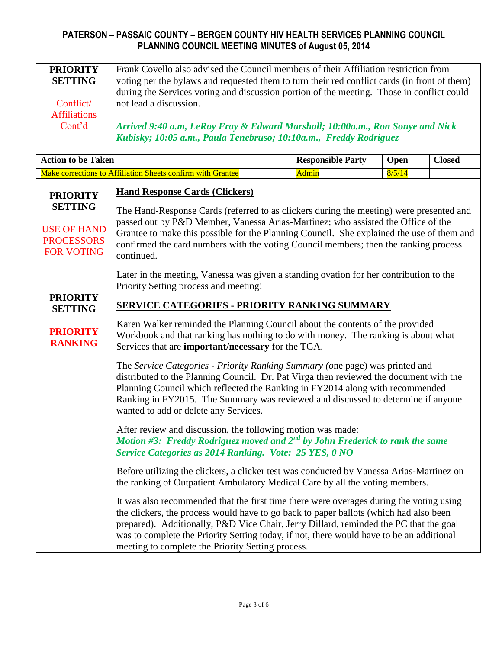| <b>PRIORITY</b><br><b>SETTING</b><br>Conflict/<br><b>Affiliations</b><br>Cont'd | Frank Covello also advised the Council members of their Affiliation restriction from<br>voting per the bylaws and requested them to turn their red conflict cards (in front of them)<br>during the Services voting and discussion portion of the meeting. Those in conflict could<br>not lead a discussion.<br>Arrived 9:40 a.m, LeRoy Fray & Edward Marshall; 10:00a.m., Ron Sonye and Nick<br>Kubisky; 10:05 a.m., Paula Tenebruso; 10:10a.m., Freddy Rodriguez |       |        |  |  |  |  |  |
|---------------------------------------------------------------------------------|-------------------------------------------------------------------------------------------------------------------------------------------------------------------------------------------------------------------------------------------------------------------------------------------------------------------------------------------------------------------------------------------------------------------------------------------------------------------|-------|--------|--|--|--|--|--|
| <b>Action to be Taken</b><br><b>Responsible Party</b><br><b>Closed</b><br>Open  |                                                                                                                                                                                                                                                                                                                                                                                                                                                                   |       |        |  |  |  |  |  |
|                                                                                 | Make corrections to Affiliation Sheets confirm with Grantee                                                                                                                                                                                                                                                                                                                                                                                                       | Admin | 8/5/14 |  |  |  |  |  |
| <b>PRIORITY</b>                                                                 | <b>Hand Response Cards (Clickers)</b>                                                                                                                                                                                                                                                                                                                                                                                                                             |       |        |  |  |  |  |  |
| <b>SETTING</b><br><b>USE OF HAND</b><br><b>PROCESSORS</b><br><b>FOR VOTING</b>  | The Hand-Response Cards (referred to as clickers during the meeting) were presented and<br>passed out by P&D Member, Vanessa Arias-Martinez; who assisted the Office of the<br>Grantee to make this possible for the Planning Council. She explained the use of them and<br>confirmed the card numbers with the voting Council members; then the ranking process<br>continued.                                                                                    |       |        |  |  |  |  |  |
|                                                                                 | Later in the meeting, Vanessa was given a standing ovation for her contribution to the<br>Priority Setting process and meeting!                                                                                                                                                                                                                                                                                                                                   |       |        |  |  |  |  |  |
| <b>PRIORITY</b><br><b>SETTING</b>                                               | <b>SERVICE CATEGORIES - PRIORITY RANKING SUMMARY</b>                                                                                                                                                                                                                                                                                                                                                                                                              |       |        |  |  |  |  |  |
| <b>PRIORITY</b><br><b>RANKING</b>                                               | Karen Walker reminded the Planning Council about the contents of the provided<br>Workbook and that ranking has nothing to do with money. The ranking is about what<br>Services that are <b>important/necessary</b> for the TGA.                                                                                                                                                                                                                                   |       |        |  |  |  |  |  |
|                                                                                 | The Service Categories - Priority Ranking Summary (one page) was printed and<br>distributed to the Planning Council. Dr. Pat Virga then reviewed the document with the<br>Planning Council which reflected the Ranking in FY2014 along with recommended<br>Ranking in FY2015. The Summary was reviewed and discussed to determine if anyone<br>wanted to add or delete any Services.                                                                              |       |        |  |  |  |  |  |
|                                                                                 | After review and discussion, the following motion was made:<br>Motion #3: Freddy Rodriguez moved and $2^{nd}$ by John Frederick to rank the same<br>Service Categories as 2014 Ranking. Vote: 25 YES, 0 NO                                                                                                                                                                                                                                                        |       |        |  |  |  |  |  |
|                                                                                 | Before utilizing the clickers, a clicker test was conducted by Vanessa Arias-Martinez on<br>the ranking of Outpatient Ambulatory Medical Care by all the voting members.                                                                                                                                                                                                                                                                                          |       |        |  |  |  |  |  |
|                                                                                 | It was also recommended that the first time there were overages during the voting using<br>the clickers, the process would have to go back to paper ballots (which had also been<br>prepared). Additionally, P&D Vice Chair, Jerry Dillard, reminded the PC that the goal<br>was to complete the Priority Setting today, if not, there would have to be an additional<br>meeting to complete the Priority Setting process.                                        |       |        |  |  |  |  |  |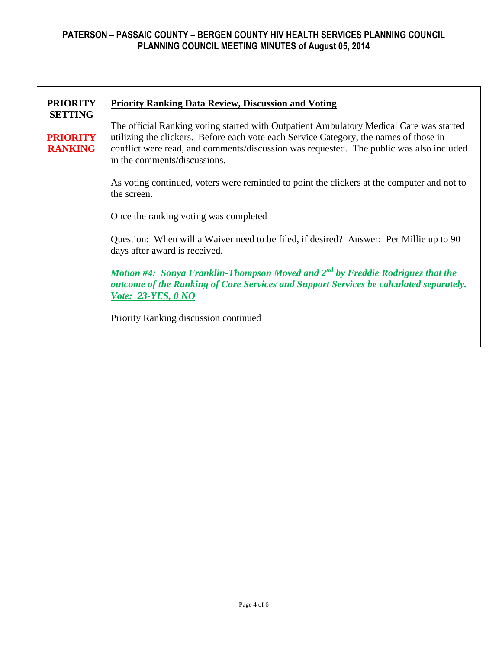| <b>PRIORITY</b><br><b>SETTING</b> | <b>Priority Ranking Data Review, Discussion and Voting</b>                                                                                                                                                                                                                                                  |  |  |  |  |  |  |
|-----------------------------------|-------------------------------------------------------------------------------------------------------------------------------------------------------------------------------------------------------------------------------------------------------------------------------------------------------------|--|--|--|--|--|--|
| <b>PRIORITY</b><br><b>RANKING</b> | The official Ranking voting started with Outpatient Ambulatory Medical Care was started<br>utilizing the clickers. Before each vote each Service Category, the names of those in<br>conflict were read, and comments/discussion was requested. The public was also included<br>in the comments/discussions. |  |  |  |  |  |  |
|                                   | As voting continued, voters were reminded to point the clickers at the computer and not to<br>the screen.                                                                                                                                                                                                   |  |  |  |  |  |  |
|                                   | Once the ranking voting was completed                                                                                                                                                                                                                                                                       |  |  |  |  |  |  |
|                                   | Question: When will a Waiver need to be filed, if desired? Answer: Per Millie up to 90<br>days after award is received.                                                                                                                                                                                     |  |  |  |  |  |  |
|                                   | Motion #4: Sonya Franklin-Thompson Moved and $2^{nd}$ by Freddie Rodriguez that the<br>outcome of the Ranking of Core Services and Support Services be calculated separately.<br><i>Vote: 23-YES, 0 NO</i>                                                                                                  |  |  |  |  |  |  |
|                                   | Priority Ranking discussion continued                                                                                                                                                                                                                                                                       |  |  |  |  |  |  |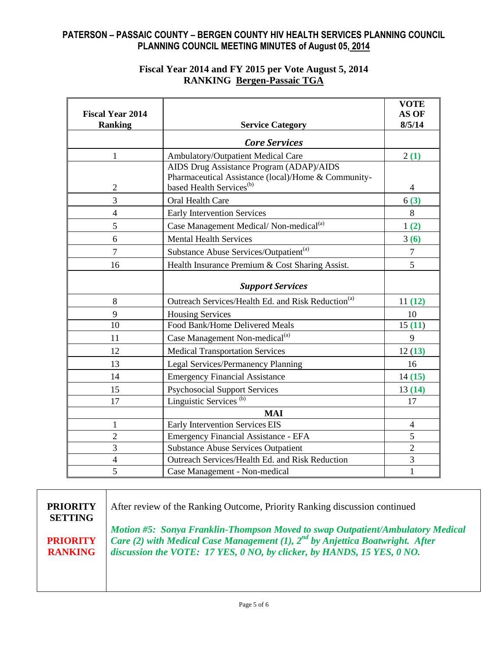### **Fiscal Year 2014 and FY 2015 per Vote August 5, 2014 RANKING Bergen-Passaic TGA**

|                                           |                                                                | <b>VOTE</b>              |
|-------------------------------------------|----------------------------------------------------------------|--------------------------|
| <b>Fiscal Year 2014</b><br><b>Ranking</b> | <b>Service Category</b>                                        | AS OF<br>8/5/14          |
|                                           | <b>Core Services</b>                                           |                          |
| 1                                         | Ambulatory/Outpatient Medical Care                             | 2(1)                     |
|                                           | AIDS Drug Assistance Program (ADAP)/AIDS                       |                          |
|                                           | Pharmaceutical Assistance (local)/Home & Community-            |                          |
| $\overline{2}$                            | based Health Services <sup>(b)</sup>                           | $\overline{\mathcal{A}}$ |
| 3                                         | Oral Health Care                                               | 6(3)                     |
| $\overline{4}$                            | <b>Early Intervention Services</b>                             | 8                        |
| 5                                         | Case Management Medical/Non-medical <sup>(a)</sup>             | 1(2)                     |
| 6                                         | <b>Mental Health Services</b>                                  | 3(6)                     |
| 7                                         | Substance Abuse Services/Outpatient <sup>(a)</sup>             | 7                        |
| 16                                        | Health Insurance Premium & Cost Sharing Assist.                | 5                        |
|                                           | <b>Support Services</b>                                        |                          |
| 8                                         | Outreach Services/Health Ed. and Risk Reduction <sup>(a)</sup> | 11(12)                   |
| 9                                         | <b>Housing Services</b>                                        | 10                       |
| 10                                        | Food Bank/Home Delivered Meals                                 | 15(11)                   |
| 11                                        | Case Management Non-medical <sup>(a)</sup>                     | 9                        |
| 12                                        | <b>Medical Transportation Services</b>                         | 12(13)                   |
| 13                                        | Legal Services/Permanency Planning                             | 16                       |
| 14                                        | <b>Emergency Financial Assistance</b>                          | 14(15)                   |
| 15                                        | <b>Psychosocial Support Services</b>                           | 13(14)                   |
| 17                                        | Linguistic Services <sup>(b)</sup>                             | 17                       |
|                                           | <b>MAI</b>                                                     |                          |
| $\mathbf{1}$                              | Early Intervention Services EIS                                | $\overline{4}$           |
| $\overline{2}$                            | Emergency Financial Assistance - EFA                           | 5                        |
| 3                                         | <b>Substance Abuse Services Outpatient</b>                     | $\overline{2}$           |
| $\overline{4}$                            | Outreach Services/Health Ed. and Risk Reduction                | 3                        |
| 5                                         | Case Management - Non-medical                                  | 1                        |

**PRIORITY SETTING PRIORITY RANKING** After review of the Ranking Outcome, Priority Ranking discussion continued *Motion #5: Sonya Franklin-Thompson Moved to swap Outpatient/Ambulatory Medical*  Care (2) with Medical Case Management (1), 2<sup>nd</sup> by Anjettica Boatwright. After *discussion the VOTE: 17 YES, 0 NO, by clicker, by HANDS, 15 YES, 0 NO.*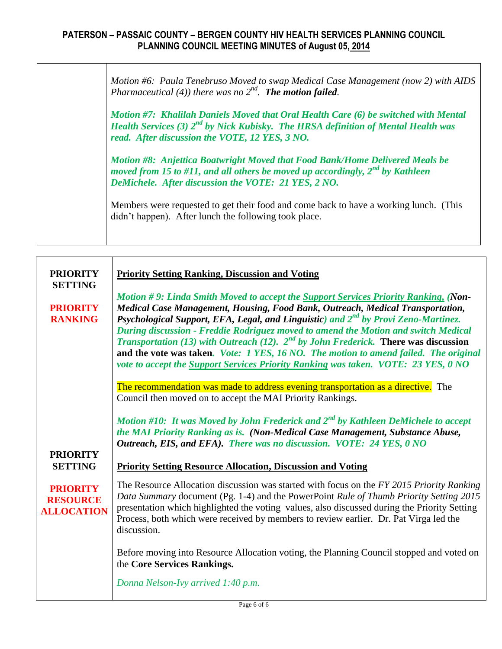*Motion #6: Paula Tenebruso Moved to swap Medical Case Management (now 2) with AIDS Pharmaceutical (4)) there was no 2nd . The motion failed.*

*Motion #7: Khalilah Daniels Moved that Oral Health Care (6) be switched with Mental Health Services (3)*  $2^{nd}$  *by Nick Kubisky. The HRSA definition of Mental Health was read. After discussion the VOTE, 12 YES, 3 NO.* 

*Motion #8: Anjettica Boatwright Moved that Food Bank/Home Delivered Meals be moved from 15 to #11, and all others be moved up accordingly, 2nd by Kathleen DeMichele. After discussion the VOTE: 21 YES, 2 NO.*

Members were requested to get their food and come back to have a working lunch. (This didn't happen). After lunch the following took place.

| <b>PRIORITY</b><br><b>SETTING</b>                       | <b>Priority Setting Ranking, Discussion and Voting</b><br>Motion #9: Linda Smith Moved to accept the Support Services Priority Ranking, (Non-                                                                                                                                                                                                                                                                                                                                                                                                           |  |  |  |  |  |
|---------------------------------------------------------|---------------------------------------------------------------------------------------------------------------------------------------------------------------------------------------------------------------------------------------------------------------------------------------------------------------------------------------------------------------------------------------------------------------------------------------------------------------------------------------------------------------------------------------------------------|--|--|--|--|--|
| <b>PRIORITY</b><br><b>RANKING</b>                       | Medical Case Management, Housing, Food Bank, Outreach, Medical Transportation,<br>Psychological Support, EFA, Legal, and Linguistic) and 2 <sup>nd</sup> by Provi Zeno-Martinez.<br>During discussion - Freddie Rodriguez moved to amend the Motion and switch Medical<br><i>Transportation</i> (13) with Outreach (12). $2^{nd}$ by John Frederick. There was discussion<br>and the vote was taken. Vote: 1 YES, 16 NO. The motion to amend failed. The original<br>vote to accept the Support Services Priority Ranking was taken. VOTE: 23 YES, 0 NO |  |  |  |  |  |
|                                                         | The recommendation was made to address evening transportation as a directive. The<br>Council then moved on to accept the MAI Priority Rankings.                                                                                                                                                                                                                                                                                                                                                                                                         |  |  |  |  |  |
|                                                         | Motion #10: It was Moved by John Frederick and $2^{nd}$ by Kathleen DeMichele to accept<br>the MAI Priority Ranking as is. (Non-Medical Case Management, Substance Abuse,<br>Outreach, EIS, and EFA). There was no discussion. VOTE: 24 YES, 0 NO                                                                                                                                                                                                                                                                                                       |  |  |  |  |  |
| <b>PRIORITY</b><br><b>SETTING</b>                       | <b>Priority Setting Resource Allocation, Discussion and Voting</b>                                                                                                                                                                                                                                                                                                                                                                                                                                                                                      |  |  |  |  |  |
| <b>PRIORITY</b><br><b>RESOURCE</b><br><b>ALLOCATION</b> | The Resource Allocation discussion was started with focus on the FY 2015 Priority Ranking<br>Data Summary document (Pg. 1-4) and the PowerPoint Rule of Thumb Priority Setting 2015<br>presentation which highlighted the voting values, also discussed during the Priority Setting<br>Process, both which were received by members to review earlier. Dr. Pat Virga led the<br>discussion.                                                                                                                                                             |  |  |  |  |  |
|                                                         | Before moving into Resource Allocation voting, the Planning Council stopped and voted on<br>the Core Services Rankings.                                                                                                                                                                                                                                                                                                                                                                                                                                 |  |  |  |  |  |
|                                                         | Donna Nelson-Ivy arrived 1:40 p.m.                                                                                                                                                                                                                                                                                                                                                                                                                                                                                                                      |  |  |  |  |  |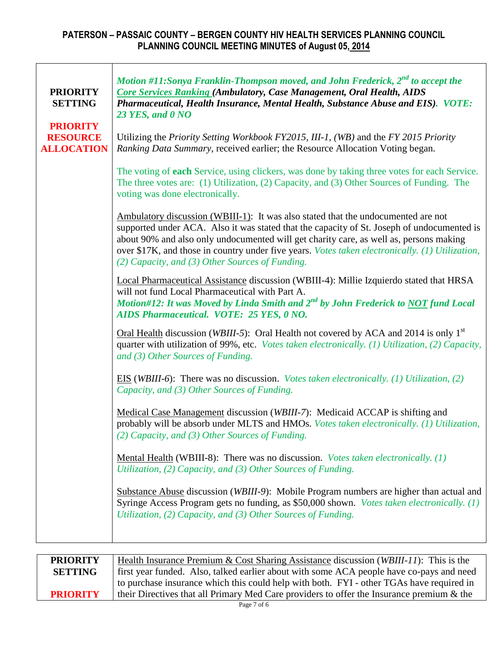$\Gamma$ 

 $\overline{\mathsf{T}}$ 

| <b>PRIORITY</b><br><b>SETTING</b>                       | Motion #11:Sonya Franklin-Thompson moved, and John Frederick, $2^{nd}$ to accept the<br><b>Core Services Ranking (Ambulatory, Case Management, Oral Health, AIDS</b><br>Pharmaceutical, Health Insurance, Mental Health, Substance Abuse and EIS). VOTE:<br>23 YES, and 0 NO                                                                                                                                                    |  |  |  |  |  |  |
|---------------------------------------------------------|---------------------------------------------------------------------------------------------------------------------------------------------------------------------------------------------------------------------------------------------------------------------------------------------------------------------------------------------------------------------------------------------------------------------------------|--|--|--|--|--|--|
| <b>PRIORITY</b><br><b>RESOURCE</b><br><b>ALLOCATION</b> | Utilizing the Priority Setting Workbook FY2015, III-1, (WB) and the FY 2015 Priority<br>Ranking Data Summary, received earlier; the Resource Allocation Voting began.                                                                                                                                                                                                                                                           |  |  |  |  |  |  |
|                                                         | The voting of each Service, using clickers, was done by taking three votes for each Service.<br>The three votes are: (1) Utilization, (2) Capacity, and (3) Other Sources of Funding. The<br>voting was done electronically.                                                                                                                                                                                                    |  |  |  |  |  |  |
|                                                         | Ambulatory discussion (WBIII-1): It was also stated that the undocumented are not<br>supported under ACA. Also it was stated that the capacity of St. Joseph of undocumented is<br>about 90% and also only undocumented will get charity care, as well as, persons making<br>over \$17K, and those in country under five years. Votes taken electronically. (1) Utilization,<br>(2) Capacity, and (3) Other Sources of Funding. |  |  |  |  |  |  |
|                                                         | Local Pharmaceutical Assistance discussion (WBIII-4): Millie Izquierdo stated that HRSA<br>will not fund Local Pharmaceutical with Part A.<br>Motion#12: It was Moved by Linda Smith and $2^{nd}$ by John Frederick to NOT fund Local<br>AIDS Pharmaceutical. VOTE: 25 YES, 0 NO.                                                                                                                                               |  |  |  |  |  |  |
|                                                         | Oral Health discussion (WBIII-5): Oral Health not covered by ACA and 2014 is only $1st$<br>quarter with utilization of 99%, etc. Votes taken electronically. (1) Utilization, (2) Capacity,<br>and (3) Other Sources of Funding.                                                                                                                                                                                                |  |  |  |  |  |  |
|                                                         | EIS (WBIII-6): There was no discussion. Votes taken electronically. (1) Utilization, (2)<br>Capacity, and (3) Other Sources of Funding.                                                                                                                                                                                                                                                                                         |  |  |  |  |  |  |
|                                                         | Medical Case Management discussion (WBIII-7): Medicaid ACCAP is shifting and<br>probably will be absorb under MLTS and HMOs. Votes taken electronically. (1) Utilization,<br>$(2)$ Capacity, and $(3)$ Other Sources of Funding.                                                                                                                                                                                                |  |  |  |  |  |  |
|                                                         | Mental Health (WBIII-8): There was no discussion. <i>Votes taken electronically.</i> (1)<br>Utilization, (2) Capacity, and (3) Other Sources of Funding.                                                                                                                                                                                                                                                                        |  |  |  |  |  |  |
|                                                         | Substance Abuse discussion ( <i>WBIII-9</i> ): Mobile Program numbers are higher than actual and<br>Syringe Access Program gets no funding, as \$50,000 shown. Votes taken electronically. (1)<br>Utilization, (2) Capacity, and (3) Other Sources of Funding.                                                                                                                                                                  |  |  |  |  |  |  |
|                                                         |                                                                                                                                                                                                                                                                                                                                                                                                                                 |  |  |  |  |  |  |

**PRIORITY SETTING PRIORITY**  Health Insurance Premium & Cost Sharing Assistance discussion (*WBIII-11*): This is the first year funded. Also, talked earlier about with some ACA people have co-pays and need to purchase insurance which this could help with both. FYI - other TGAs have required in their Directives that all Primary Med Care providers to offer the Insurance premium & the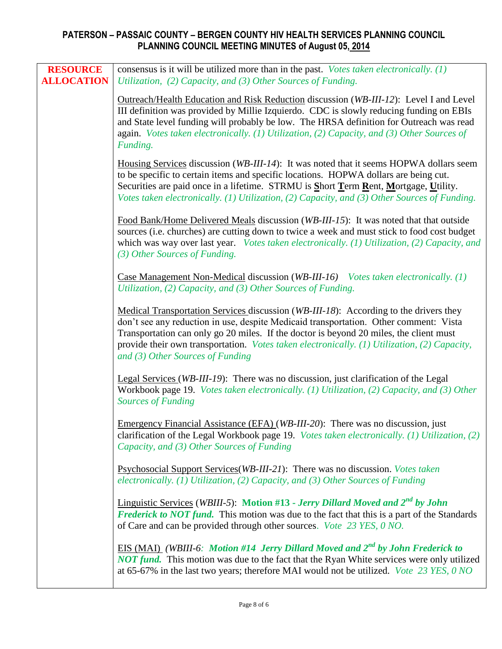| <b>RESOURCE</b><br><b>ALLOCATION</b> | consensus is it will be utilized more than in the past. Votes taken electronically. $(1)$<br>Utilization, (2) Capacity, and (3) Other Sources of Funding.                                                                                                                                                                                                                                                      |
|--------------------------------------|----------------------------------------------------------------------------------------------------------------------------------------------------------------------------------------------------------------------------------------------------------------------------------------------------------------------------------------------------------------------------------------------------------------|
|                                      | Outreach/Health Education and Risk Reduction discussion (WB-III-12): Level I and Level<br>III definition was provided by Millie Izquierdo. CDC is slowly reducing funding on EBIs<br>and State level funding will probably be low. The HRSA definition for Outreach was read<br>again. Votes taken electronically. (1) Utilization, (2) Capacity, and (3) Other Sources of<br>Funding.                         |
|                                      | Housing Services discussion (WB-III-14): It was noted that it seems HOPWA dollars seem<br>to be specific to certain items and specific locations. HOPWA dollars are being cut.<br>Securities are paid once in a lifetime. STRMU is Short Term Rent, Mortgage, Utility.<br>Votes taken electronically. (1) Utilization, (2) Capacity, and (3) Other Sources of Funding.                                         |
|                                      | Food Bank/Home Delivered Meals discussion (WB-III-15): It was noted that that outside<br>sources (i.e. churches) are cutting down to twice a week and must stick to food cost budget<br>which was way over last year. Votes taken electronically. (1) Utilization, (2) Capacity, and<br>(3) Other Sources of Funding.                                                                                          |
|                                      | Case Management Non-Medical discussion (WB-III-16) Votes taken electronically. (1)<br>Utilization, (2) Capacity, and (3) Other Sources of Funding.                                                                                                                                                                                                                                                             |
|                                      | Medical Transportation Services discussion (WB-III-18): According to the drivers they<br>don't see any reduction in use, despite Medicaid transportation. Other comment: Vista<br>Transportation can only go 20 miles. If the doctor is beyond 20 miles, the client must<br>provide their own transportation. Votes taken electronically. (1) Utilization, (2) Capacity,<br>and $(3)$ Other Sources of Funding |
|                                      | Legal Services (WB-III-19): There was no discussion, just clarification of the Legal<br>Workbook page 19. Votes taken electronically. (1) Utilization, (2) Capacity, and (3) Other<br><b>Sources of Funding</b>                                                                                                                                                                                                |
|                                      | Emergency Financial Assistance (EFA) (WB-III-20): There was no discussion, just<br>clarification of the Legal Workbook page 19. Votes taken electronically. (1) Utilization, (2)<br>Capacity, and (3) Other Sources of Funding                                                                                                                                                                                 |
|                                      | Psychosocial Support Services (WB-III-21): There was no discussion. Votes taken<br>electronically. (1) Utilization, (2) Capacity, and (3) Other Sources of Funding                                                                                                                                                                                                                                             |
|                                      | Linguistic Services (WBIII-5): Motion #13 - Jerry Dillard Moved and 2 <sup>nd</sup> by John<br><b>Frederick to NOT fund.</b> This motion was due to the fact that this is a part of the Standards<br>of Care and can be provided through other sources. Vote 23 YES, 0 NO.                                                                                                                                     |
|                                      | EIS (MAI) (WBIII-6: Motion #14 Jerry Dillard Moved and 2 <sup>nd</sup> by John Frederick to<br>NOT fund. This motion was due to the fact that the Ryan White services were only utilized<br>at 65-67% in the last two years; therefore MAI would not be utilized. Vote 23 YES, 0 NO                                                                                                                            |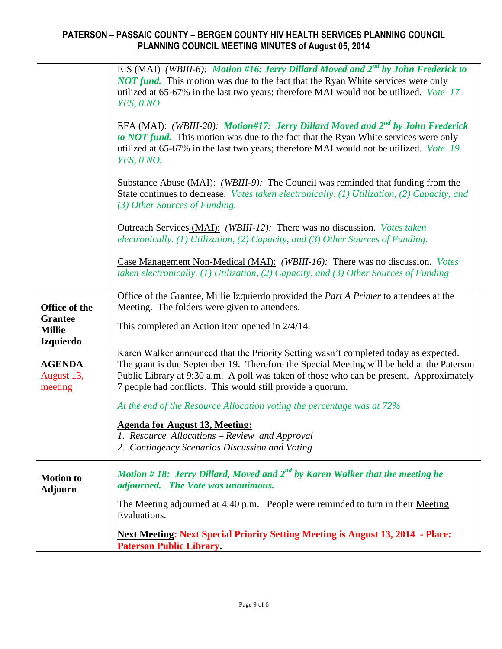|                                    | EIS (MAI) (WBIII-6): Motion #16: Jerry Dillard Moved and 2 <sup>nd</sup> by John Frederick to<br><b>NOT fund.</b> This motion was due to the fact that the Ryan White services were only<br>utilized at 65-67% in the last two years; therefore MAI would not be utilized. Vote 17<br>YES, ONO |
|------------------------------------|------------------------------------------------------------------------------------------------------------------------------------------------------------------------------------------------------------------------------------------------------------------------------------------------|
|                                    | EFA (MAI): (WBIII-20): Motion#17: Jerry Dillard Moved and 2 <sup>nd</sup> by John Frederick<br>to NOT fund. This motion was due to the fact that the Ryan White services were only<br>utilized at 65-67% in the last two years; therefore MAI would not be utilized. Vote 19<br>YES, 0 NO.     |
|                                    | Substance Abuse (MAI): (WBIII-9): The Council was reminded that funding from the<br>State continues to decrease. Votes taken electronically. (1) Utilization, (2) Capacity, and<br>(3) Other Sources of Funding.                                                                               |
|                                    | Outreach Services (MAI): (WBIII-12): There was no discussion. Votes taken<br>electronically. (1) Utilization, (2) Capacity, and (3) Other Sources of Funding.                                                                                                                                  |
|                                    | Case Management Non-Medical (MAI): (WBIII-16): There was no discussion. Votes<br>taken electronically. (1) Utilization, (2) Capacity, and (3) Other Sources of Funding                                                                                                                         |
|                                    | Office of the Grantee, Millie Izquierdo provided the Part A Primer to attendees at the                                                                                                                                                                                                         |
| Office of the<br><b>Grantee</b>    | Meeting. The folders were given to attendees.                                                                                                                                                                                                                                                  |
| <b>Millie</b><br><b>Izquierdo</b>  | This completed an Action item opened in $2/4/14$ .                                                                                                                                                                                                                                             |
|                                    | Karen Walker announced that the Priority Setting wasn't completed today as expected.                                                                                                                                                                                                           |
| <b>AGENDA</b>                      | The grant is due September 19. Therefore the Special Meeting will be held at the Paterson                                                                                                                                                                                                      |
| August 13,<br>meeting              | Public Library at 9:30 a.m. A poll was taken of those who can be present. Approximately<br>7 people had conflicts. This would still provide a quorum.                                                                                                                                          |
|                                    | At the end of the Resource Allocation voting the percentage was at 72%                                                                                                                                                                                                                         |
|                                    | <b>Agenda for August 13, Meeting:</b>                                                                                                                                                                                                                                                          |
|                                    | 1. Resource Allocations – Review and Approval                                                                                                                                                                                                                                                  |
|                                    | 2. Contingency Scenarios Discussion and Voting                                                                                                                                                                                                                                                 |
| <b>Motion</b> to<br><b>Adjourn</b> | Motion #18: Jerry Dillard, Moved and $2^{nd}$ by Karen Walker that the meeting be<br>adjourned. The Vote was unanimous.                                                                                                                                                                        |
|                                    | The Meeting adjourned at 4:40 p.m. People were reminded to turn in their Meeting<br>Evaluations.                                                                                                                                                                                               |
|                                    | <b>Next Meeting: Next Special Priority Setting Meeting is August 13, 2014 - Place:</b><br><b>Paterson Public Library.</b>                                                                                                                                                                      |